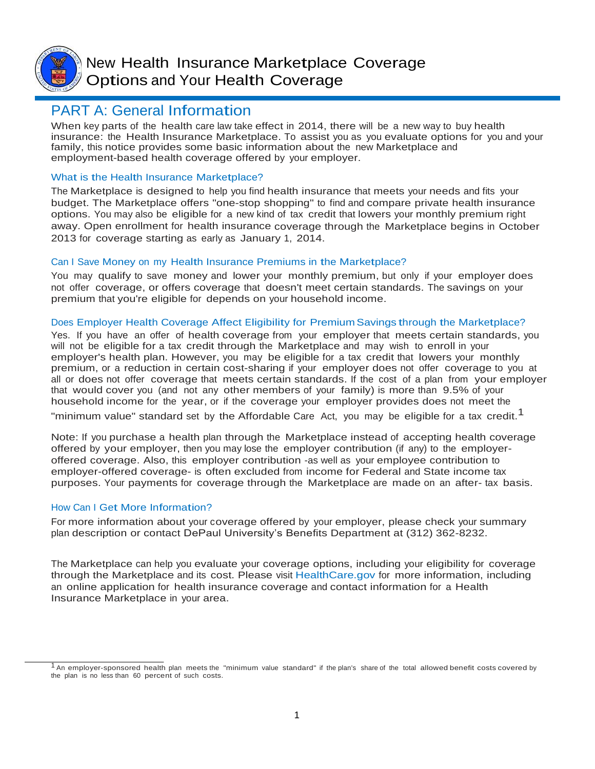

New Health Insurance Marketplace Coverage Options and Your Health Coverage

## PART A: General Information

When key parts of the health care law take effect in 2014, there will be a new way to buy health insurance: the Health Insurance Marketplace. To assist you as you evaluate options for you and your family, this notice provides some basic information about the new Marketplace and employment-based health coverage offered by your employer.

## What is the Health Insurance Marketplace?

The Marketplace is designed to help you find health insurance that meets your needs and fits your budget. The Marketplace offers "one-stop shopping" to find and compare private health insurance options. You may also be eligible for a new kind of tax credit that lowers your monthly premium right away. Open enrollment for health insurance coverage through the Marketplace begins in October 2013 for coverage starting as early as January 1, 2014.

## Can <sup>I</sup> Save Money on my Health Insurance Premiums in the Marketplace?

You may qualify to save money and lower your monthly premium, but only if your employer does not offer coverage, or offers coverage that doesn't meet certain standards. The savings on your premium that you're eligible for depends on your household income.

## Does Employer Health Coverage Affect Eligibility for Premium Savings through the Marketplace?

Yes. If you have an offer of health coverage from your employer that meets certain standards, you will not be eligible for a tax credit through the Marketplace and may wish to enroll in your employer's health plan. However, you may be eligible for a tax credit that lowers your monthly premium, or a reduction in certain cost-sharing if your employer does not offer coverage to you at all or does not offer coverage that meets certain standards. If the cost of a plan from your employer that would cover you (and not any other members of your family) is more than 9.5% of your household income for the year, or if the coverage your employer provides does not meet the

"minimum value" standard set by the Affordable Care Act, you may be eligible for a tax credit.<sup>1</sup>

Note: If you purchase a health plan through the Marketplace instead of accepting health coverage offered by your employer, then you may lose the employer contribution (if any) to the employeroffered coverage. Also, this employer contribution -as well as your employee contribution to employer-offered coverage- is often excluded from income for Federal and State income tax purposes. Your payments for coverage through the Marketplace are made on an after- tax basis.

## How Can <sup>I</sup> Get More Information?

For more information about your coverage offered by your employer, please check your summary plan description or contact DePaul University's Benefits Department at (312) 362-8232.

The Marketplace can help you evaluate your coverage options, including your eligibility for coverage through the Marketplace and its cost. Please visit HealthCare.gov for more information, including an online application for health insurance coverage and contact information for a Health Insurance Marketplace in your area.

 $1$  An employer-sponsored health plan meets the "minimum value standard" if the plan's share of the total allowed benefit costs covered by the plan is no less than 60 percent of such costs.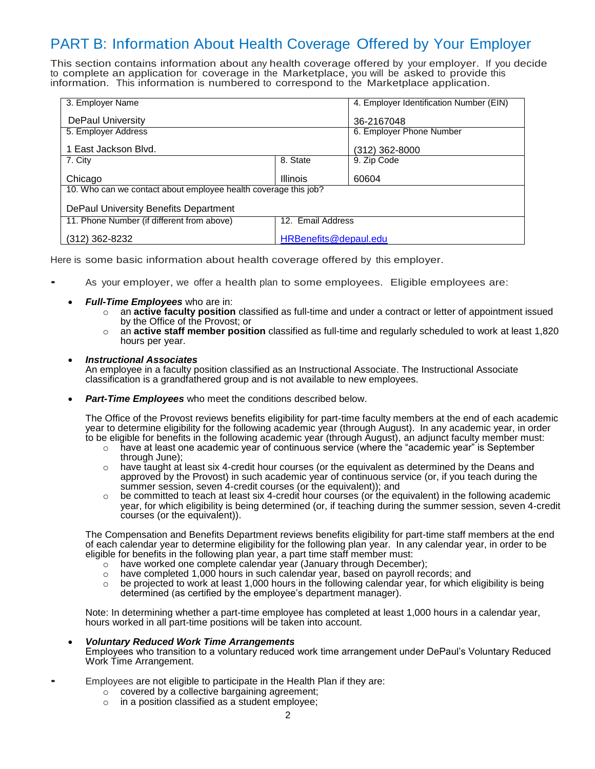# PART B: Information About Health Coverage Offered by Your Employer

This section contains information about any health coverage offered by your employer. If you decide to complete an application for coverage in the Marketplace, you will be asked to provide this information. This information is numbered to correspond to the Marketplace application.

| 3. Employer Name                                                |                       | 4. Employer Identification Number (EIN) |
|-----------------------------------------------------------------|-----------------------|-----------------------------------------|
| <b>DePaul University</b>                                        |                       | 36-2167048                              |
| 5. Employer Address                                             |                       | 6. Employer Phone Number                |
| 1 East Jackson Blvd.                                            |                       | (312) 362-8000                          |
| 7. City                                                         | 8. State              | 9. Zip Code                             |
| Chicago                                                         | <b>Illinois</b>       | 60604                                   |
| 10. Who can we contact about employee health coverage this job? |                       |                                         |
| DePaul University Benefits Department                           |                       |                                         |
| 11. Phone Number (if different from above)                      | 12. Email Address     |                                         |
| (312) 362-8232                                                  | HRBenefits@depaul.edu |                                         |

Here is some basic information about health coverage offered by this employer.

- As your employer, we offer a health plan to some employees. Eligible employees are:
	- *Full-Time Employees* who are in:
		- o an **active faculty position** classified as full-time and under a contract or letter of appointment issued by the Office of the Provost; or
		- o an **active staff member position** classified as full-time and regularly scheduled to work at least 1,820 hours per year.
	- *Instructional Associates*

An employee in a faculty position classified as an Instructional Associate. The Instructional Associate classification is a grandfathered group and is not available to new employees.

*Part-Time Employees* who meet the conditions described below.

The Office of the Provost reviews benefits eligibility for part-time faculty members at the end of each academic year to determine eligibility for the following academic year (through August). In any academic year, in order to be eligible for benefits in the following academic year (through August), an adjunct faculty member must:

- $\circ$  have at least one academic year of continuous service (where the "academic year" is September through June);
- o have taught at least six 4-credit hour courses (or the equivalent as determined by the Deans and approved by the Provost) in such academic year of continuous service (or, if you teach during the summer session, seven 4-credit courses (or the equivalent)); and
- be committed to teach at least six 4-credit hour courses (or the equivalent) in the following academic year, for which eligibility is being determined (or, if teaching during the summer session, seven 4-credit courses (or the equivalent)).

The Compensation and Benefits Department reviews benefits eligibility for part-time staff members at the end of each calendar year to determine eligibility for the following plan year. In any calendar year, in order to be eligible for benefits in the following plan year, a part time staff member must:

- o have worked one complete calendar year (January through December);
- $\circ$  have completed 1,000 hours in such calendar year, based on payroll records; and
- $\circ$  be projected to work at least 1,000 hours in the following calendar year, for which eligibility is being determined (as certified by the employee's department manager).

Note: In determining whether a part-time employee has completed at least 1,000 hours in a calendar year, hours worked in all part-time positions will be taken into account.

- *Voluntary Reduced Work Time Arrangements* Employees who transition to a voluntary reduced work time arrangement under DePaul's Voluntary Reduced Work Time Arrangement.
- Employees are not eligible to participate in the Health Plan if they are:
	- $\circ$  covered by a collective bargaining agreement;
	- o in a position classified as a student employee;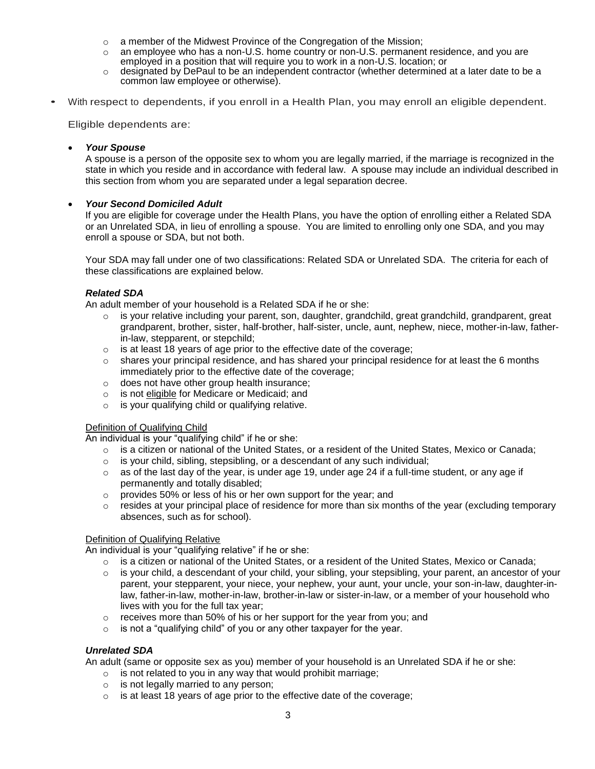- $\circ$  a member of the Midwest Province of the Congregation of the Mission;
- $\circ$  an employee who has a non-U.S. home country or non-U.S. permanent residence, and you are employed in a position that will require you to work in a non-U.S. location; or
- $\circ$  designated by DePaul to be an independent contractor (whether determined at a later date to be a common law employee or otherwise).
- With respect to dependents, if you enroll in a Health Plan, you may enroll an eligible dependent.

Eligible dependents are:

#### *Your Spouse*

A spouse is a person of the opposite sex to whom you are legally married, if the marriage is recognized in the state in which you reside and in accordance with federal law. A spouse may include an individual described in this section from whom you are separated under a legal separation decree.

#### *Your Second Domiciled Adult*

If you are eligible for coverage under the Health Plans, you have the option of enrolling either a Related SDA or an Unrelated SDA, in lieu of enrolling a spouse. You are limited to enrolling only one SDA, and you may enroll a spouse or SDA, but not both.

Your SDA may fall under one of two classifications: Related SDA or Unrelated SDA. The criteria for each of these classifications are explained below.

#### *Related SDA*

An adult member of your household is a Related SDA if he or she:

- o is your relative including your parent, son, daughter, grandchild, great grandchild, grandparent, great grandparent, brother, sister, half-brother, half-sister, uncle, aunt, nephew, niece, mother-in-law, fatherin-law, stepparent, or stepchild;
- $\circ$  is at least 18 years of age prior to the effective date of the coverage;
- $\circ$  shares your principal residence, and has shared your principal residence for at least the 6 months immediately prior to the effective date of the coverage;
- o does not have other group health insurance;
- o is not eligible for Medicare or Medicaid; and
- o is your qualifying child or qualifying relative.

#### Definition of Qualifying Child

An individual is your "qualifying child" if he or she:

- $\circ$  is a citizen or national of the United States, or a resident of the United States, Mexico or Canada;
- $\circ$  is your child, sibling, stepsibling, or a descendant of any such individual;
- $\circ$  as of the last day of the year, is under age 19, under age 24 if a full-time student, or any age if permanently and totally disabled;
- o provides 50% or less of his or her own support for the year; and
- $\circ$  resides at your principal place of residence for more than six months of the year (excluding temporary absences, such as for school).

#### Definition of Qualifying Relative

An individual is your "qualifying relative" if he or she:

- $\circ$  is a citizen or national of the United States, or a resident of the United States, Mexico or Canada;
- $\circ$  is your child, a descendant of your child, your sibling, your stepsibling, your parent, an ancestor of your parent, your stepparent, your niece, your nephew, your aunt, your uncle, your son-in-law, daughter-inlaw, father-in-law, mother-in-law, brother-in-law or sister-in-law, or a member of your household who lives with you for the full tax year;
- o receives more than 50% of his or her support for the year from you; and
- $\circ$  is not a "qualifying child" of you or any other taxpayer for the year.

#### *Unrelated SDA*

An adult (same or opposite sex as you) member of your household is an Unrelated SDA if he or she:

- o is not related to you in any way that would prohibit marriage;
- o is not legally married to any person;
- o is at least 18 years of age prior to the effective date of the coverage;